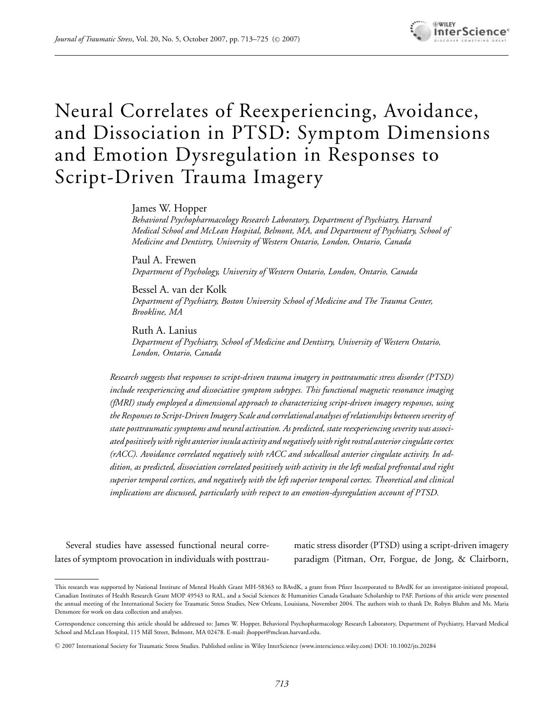# Neural Correlates of Reexperiencing, Avoidance, and Dissociation in PTSD: Symptom Dimensions and Emotion Dysregulation in Responses to Script-Driven Trauma Imagery

#### James W. Hopper

*Behavioral Psychopharmacology Research Laboratory, Department of Psychiatry, Harvard Medical School and McLean Hospital, Belmont, MA, and Department of Psychiatry, School of Medicine and Dentistry, University of Western Ontario, London, Ontario, Canada*

Paul A. Frewen *Department of Psychology, University of Western Ontario, London, Ontario, Canada*

Bessel A. van der Kolk *Department of Psychiatry, Boston University School of Medicine and The Trauma Center, Brookline, MA*

Ruth A. Lanius

*Department of Psychiatry, School of Medicine and Dentistry, University of Western Ontario, London, Ontario, Canada*

*Research suggests that responses to script-driven trauma imagery in posttraumatic stress disorder (PTSD) include reexperiencing and dissociative symptom subtypes. This functional magnetic resonance imaging (fMRI) study employed a dimensional approach to characterizing script-driven imagery responses, using the Responses to Script-Driven Imagery Scale and correlational analyses of relationships between severity of state posttraumatic symptoms and neural activation. As predicted, state reexperiencing severity was associated positively with right anterior insula activity and negatively with right rostral anterior cingulate cortex (rACC). Avoidance correlated negatively with rACC and subcallosal anterior cingulate activity. In addition, as predicted, dissociation correlated positively with activity in the left medial prefrontal and right superior temporal cortices, and negatively with the left superior temporal cortex. Theoretical and clinical implications are discussed, particularly with respect to an emotion-dysregulation account of PTSD.*

Several studies have assessed functional neural correlates of symptom provocation in individuals with posttraumatic stress disorder (PTSD) using a script-driven imagery paradigm (Pitman, Orr, Forgue, de Jong, & Clairborn,

This research was supported by National Institute of Mental Health Grant MH-58363 to BAvdK, a grant from Pfizer Incorporated to BAvdK for an investigator-initiated proposal, Canadian Institutes of Health Research Grant MOP 49543 to RAL, and a Social Sciences & Humanities Canada Graduate Scholarship to PAF. Portions of this article were presented the annual meeting of the International Society for Traumatic Stress Studies, New Orleans, Louisiana, November 2004. The authors wish to thank Dr. Robyn Bluhm and Ms. Maria Densmore for work on data collection and analyses.

Correspondence concerning this article should be addressed to: James W. Hopper, Behavioral Psychopharmacology Research Laboratory, Department of Psychiatry, Harvard Medical School and McLean Hospital, 115 Mill Street, Belmont, MA 02478. E-mail: jhopper@mclean.harvard.edu.

<sup>C</sup> 2007 International Society for Traumatic Stress Studies. Published online in Wiley InterScience (www.interscience.wiley.com) DOI: 10.1002/jts.20284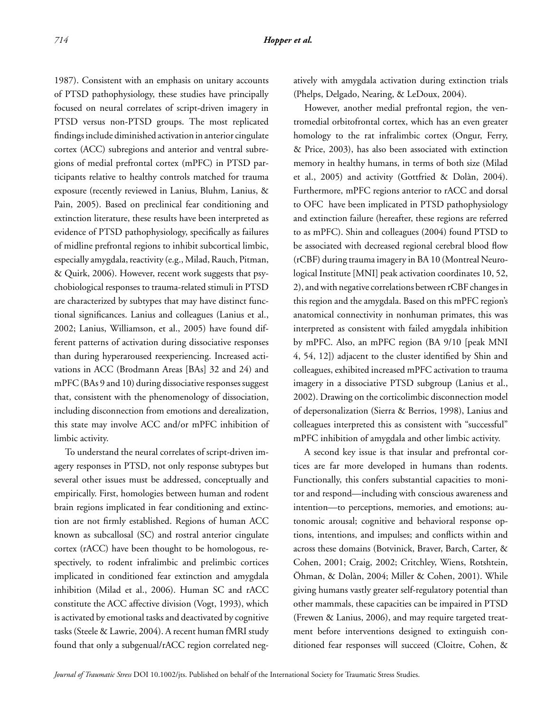1987). Consistent with an emphasis on unitary accounts of PTSD pathophysiology, these studies have principally focused on neural correlates of script-driven imagery in PTSD versus non-PTSD groups. The most replicated findings include diminished activation in anterior cingulate cortex (ACC) subregions and anterior and ventral subregions of medial prefrontal cortex (mPFC) in PTSD participants relative to healthy controls matched for trauma exposure (recently reviewed in Lanius, Bluhm, Lanius, & Pain, 2005). Based on preclinical fear conditioning and extinction literature, these results have been interpreted as evidence of PTSD pathophysiology, specifically as failures of midline prefrontal regions to inhibit subcortical limbic, especially amygdala, reactivity (e.g., Milad, Rauch, Pitman, & Quirk, 2006). However, recent work suggests that psychobiological responses to trauma-related stimuli in PTSD are characterized by subtypes that may have distinct functional significances. Lanius and colleagues (Lanius et al., 2002; Lanius, Williamson, et al., 2005) have found different patterns of activation during dissociative responses than during hyperaroused reexperiencing. Increased activations in ACC (Brodmann Areas [BAs] 32 and 24) and mPFC (BAs 9 and 10) during dissociative responses suggest that, consistent with the phenomenology of dissociation, including disconnection from emotions and derealization, this state may involve ACC and/or mPFC inhibition of limbic activity.

To understand the neural correlates of script-driven imagery responses in PTSD, not only response subtypes but several other issues must be addressed, conceptually and empirically. First, homologies between human and rodent brain regions implicated in fear conditioning and extinction are not firmly established. Regions of human ACC known as subcallosal (SC) and rostral anterior cingulate cortex (rACC) have been thought to be homologous, respectively, to rodent infralimbic and prelimbic cortices implicated in conditioned fear extinction and amygdala inhibition (Milad et al., 2006). Human SC and rACC constitute the ACC affective division (Vogt, 1993), which is activated by emotional tasks and deactivated by cognitive tasks (Steele & Lawrie, 2004). A recent human fMRI study found that only a subgenual/rACC region correlated negatively with amygdala activation during extinction trials (Phelps, Delgado, Nearing, & LeDoux, 2004).

However, another medial prefrontal region, the ventromedial orbitofrontal cortex, which has an even greater homology to the rat infralimbic cortex (Ongur, Ferry, & Price, 2003), has also been associated with extinction memory in healthy humans, in terms of both size (Milad et al., 2005) and activity (Gottfried & Dolàn, 2004). Furthermore, mPFC regions anterior to rACC and dorsal to OFC have been implicated in PTSD pathophysiology and extinction failure (hereafter, these regions are referred to as mPFC). Shin and colleagues (2004) found PTSD to be associated with decreased regional cerebral blood flow (rCBF) during trauma imagery in BA 10 (Montreal Neurological Institute [MNI] peak activation coordinates 10, 52, 2), and with negative correlations between rCBF changes in this region and the amygdala. Based on this mPFC region's anatomical connectivity in nonhuman primates, this was interpreted as consistent with failed amygdala inhibition by mPFC. Also, an mPFC region (BA 9/10 [peak MNI 4, 54, 12]) adjacent to the cluster identified by Shin and colleagues, exhibited increased mPFC activation to trauma imagery in a dissociative PTSD subgroup (Lanius et al., 2002). Drawing on the corticolimbic disconnection model of depersonalization (Sierra & Berrios, 1998), Lanius and colleagues interpreted this as consistent with "successful" mPFC inhibition of amygdala and other limbic activity.

A second key issue is that insular and prefrontal cortices are far more developed in humans than rodents. Functionally, this confers substantial capacities to monitor and respond—including with conscious awareness and intention—to perceptions, memories, and emotions; autonomic arousal; cognitive and behavioral response options, intentions, and impulses; and conflicts within and across these domains (Botvinick, Braver, Barch, Carter, & Cohen, 2001; Craig, 2002; Critchley, Wiens, Rotshtein, Öhman, & Dolàn, 2004; Miller & Cohen, 2001). While giving humans vastly greater self-regulatory potential than other mammals, these capacities can be impaired in PTSD (Frewen & Lanius, 2006), and may require targeted treatment before interventions designed to extinguish conditioned fear responses will succeed (Cloitre, Cohen, &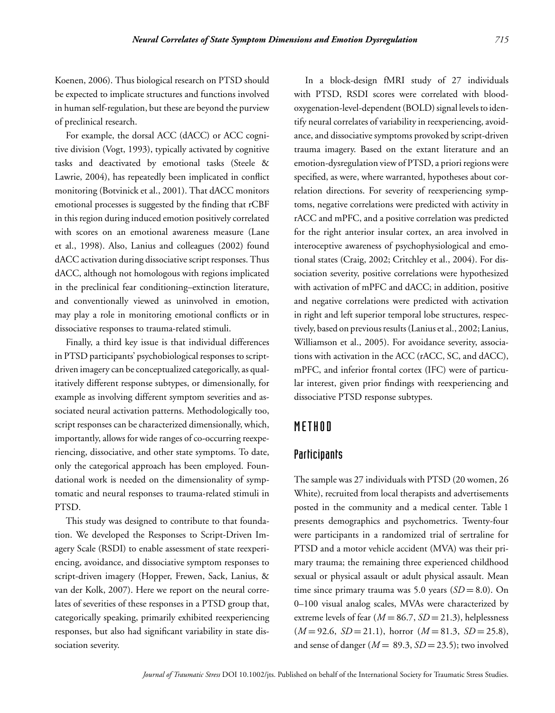Koenen, 2006). Thus biological research on PTSD should be expected to implicate structures and functions involved in human self-regulation, but these are beyond the purview of preclinical research.

For example, the dorsal ACC (dACC) or ACC cognitive division (Vogt, 1993), typically activated by cognitive tasks and deactivated by emotional tasks (Steele & Lawrie, 2004), has repeatedly been implicated in conflict monitoring (Botvinick et al., 2001). That dACC monitors emotional processes is suggested by the finding that rCBF in this region during induced emotion positively correlated with scores on an emotional awareness measure (Lane et al., 1998). Also, Lanius and colleagues (2002) found dACC activation during dissociative script responses. Thus dACC, although not homologous with regions implicated in the preclinical fear conditioning–extinction literature, and conventionally viewed as uninvolved in emotion, may play a role in monitoring emotional conflicts or in dissociative responses to trauma-related stimuli.

Finally, a third key issue is that individual differences in PTSD participants' psychobiological responses to scriptdriven imagery can be conceptualized categorically, as qualitatively different response subtypes, or dimensionally, for example as involving different symptom severities and associated neural activation patterns. Methodologically too, script responses can be characterized dimensionally, which, importantly, allows for wide ranges of co-occurring reexperiencing, dissociative, and other state symptoms. To date, only the categorical approach has been employed. Foundational work is needed on the dimensionality of symptomatic and neural responses to trauma-related stimuli in PTSD.

This study was designed to contribute to that foundation. We developed the Responses to Script-Driven Imagery Scale (RSDI) to enable assessment of state reexperiencing, avoidance, and dissociative symptom responses to script-driven imagery (Hopper, Frewen, Sack, Lanius, & van der Kolk, 2007). Here we report on the neural correlates of severities of these responses in a PTSD group that, categorically speaking, primarily exhibited reexperiencing responses, but also had significant variability in state dissociation severity.

In a block-design fMRI study of 27 individuals with PTSD, RSDI scores were correlated with bloodoxygenation-level-dependent (BOLD) signal levels to identify neural correlates of variability in reexperiencing, avoidance, and dissociative symptoms provoked by script-driven trauma imagery. Based on the extant literature and an emotion-dysregulation view of PTSD, a priori regions were specified, as were, where warranted, hypotheses about correlation directions. For severity of reexperiencing symptoms, negative correlations were predicted with activity in rACC and mPFC, and a positive correlation was predicted for the right anterior insular cortex, an area involved in interoceptive awareness of psychophysiological and emotional states (Craig, 2002; Critchley et al., 2004). For dissociation severity, positive correlations were hypothesized with activation of mPFC and dACC; in addition, positive and negative correlations were predicted with activation in right and left superior temporal lobe structures, respectively, based on previous results (Lanius et al., 2002; Lanius, Williamson et al., 2005). For avoidance severity, associations with activation in the ACC (rACC, SC, and dACC), mPFC, and inferior frontal cortex (IFC) were of particular interest, given prior findings with reexperiencing and dissociative PTSD response subtypes.

#### METHOD

#### **Participants**

The sample was 27 individuals with PTSD (20 women, 26 White), recruited from local therapists and advertisements posted in the community and a medical center. Table 1 presents demographics and psychometrics. Twenty-four were participants in a randomized trial of sertraline for PTSD and a motor vehicle accident (MVA) was their primary trauma; the remaining three experienced childhood sexual or physical assault or adult physical assault. Mean time since primary trauma was 5.0 years  $(SD = 8.0)$ . On 0–100 visual analog scales, MVAs were characterized by extreme levels of fear ( $M = 86.7$ ,  $SD = 21.3$ ), helplessness  $(M = 92.6, SD = 21.1)$ , horror  $(M = 81.3, SD = 25.8)$ , and sense of danger ( $M = 89.3$ ,  $SD = 23.5$ ); two involved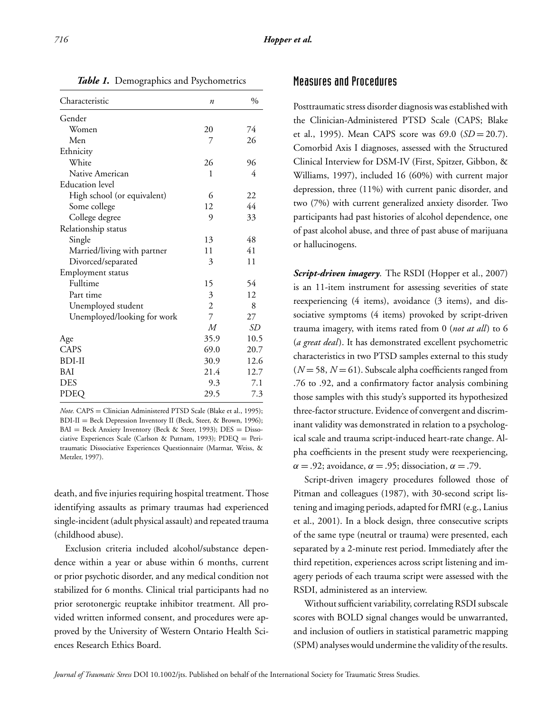| Characteristic              | n              | $\frac{0}{0}$ |
|-----------------------------|----------------|---------------|
| Gender                      |                |               |
| Women                       | 20             | 74            |
| Men                         | 7              | 26            |
| Ethnicity                   |                |               |
| White                       | 26             | 96            |
| Native American             | 1              | 4             |
| <b>Education</b> level      |                |               |
| High school (or equivalent) | 6              | 22            |
| Some college                | 12             | 44            |
| College degree              | 9              | 33            |
| Relationship status         |                |               |
| Single                      | 13             | 48            |
| Married/living with partner | 11             | 41            |
| Divorced/separated          | 3              | 11            |
| Employment status           |                |               |
| Fulltime                    | 15             | 54            |
| Part time                   | 3              | 12.           |
| Unemployed student          | $\overline{2}$ | 8             |
| Unemployed/looking for work | 7              | 27            |
|                             | $\overline{M}$ | SD            |
| Age                         | 35.9           | 10.5          |
| CAPS                        | 69.0           | 20.7          |
| <b>BDI-II</b>               | 30.9           | 12.6          |
| <b>BAI</b>                  | 21.4           | 12.7          |
| DES                         | 9.3            | 7.1           |
| PDEQ                        | 29.5           | 7.3           |

*Table 1.* Demographics and Psychometrics

*Note.* CAPS = Clinician Administered PTSD Scale (Blake et al., 1995); BDI-II = Beck Depression Inventory II (Beck, Steer, & Brown, 1996); BAI = Beck Anxiety Inventory (Beck & Steer, 1993); DES = Dissociative Experiences Scale (Carlson & Putnam, 1993); PDEQ = Peritraumatic Dissociative Experiences Questionnaire (Marmar, Weiss, & Metzler, 1997).

death, and five injuries requiring hospital treatment. Those identifying assaults as primary traumas had experienced single-incident (adult physical assault) and repeated trauma (childhood abuse).

Exclusion criteria included alcohol/substance dependence within a year or abuse within 6 months, current or prior psychotic disorder, and any medical condition not stabilized for 6 months. Clinical trial participants had no prior serotonergic reuptake inhibitor treatment. All provided written informed consent, and procedures were approved by the University of Western Ontario Health Sciences Research Ethics Board.

#### Measures and Procedures

Posttraumatic stress disorder diagnosis was established with the Clinician-Administered PTSD Scale (CAPS; Blake et al., 1995). Mean CAPS score was 69.0 (*SD* = 20.7). Comorbid Axis I diagnoses, assessed with the Structured Clinical Interview for DSM-IV (First, Spitzer, Gibbon, & Williams, 1997), included 16 (60%) with current major depression, three (11%) with current panic disorder, and two (7%) with current generalized anxiety disorder. Two participants had past histories of alcohol dependence, one of past alcohol abuse, and three of past abuse of marijuana or hallucinogens.

*Script-driven imagery*. The RSDI (Hopper et al., 2007) is an 11-item instrument for assessing severities of state reexperiencing (4 items), avoidance (3 items), and dissociative symptoms (4 items) provoked by script-driven trauma imagery, with items rated from 0 (*not at all*) to 6 (*a great deal*). It has demonstrated excellent psychometric characteristics in two PTSD samples external to this study  $(N = 58, N = 61)$ . Subscale alpha coefficients ranged from .76 to .92, and a confirmatory factor analysis combining those samples with this study's supported its hypothesized three-factor structure. Evidence of convergent and discriminant validity was demonstrated in relation to a psychological scale and trauma script-induced heart-rate change. Alpha coefficients in the present study were reexperiencing,  $\alpha = .92$ ; avoidance,  $\alpha = .95$ ; dissociation,  $\alpha = .79$ .

Script-driven imagery procedures followed those of Pitman and colleagues (1987), with 30-second script listening and imaging periods, adapted for fMRI (e.g., Lanius et al., 2001). In a block design, three consecutive scripts of the same type (neutral or trauma) were presented, each separated by a 2-minute rest period. Immediately after the third repetition, experiences across script listening and imagery periods of each trauma script were assessed with the RSDI, administered as an interview.

Without sufficient variability, correlating RSDI subscale scores with BOLD signal changes would be unwarranted, and inclusion of outliers in statistical parametric mapping (SPM) analyses would undermine the validity of the results.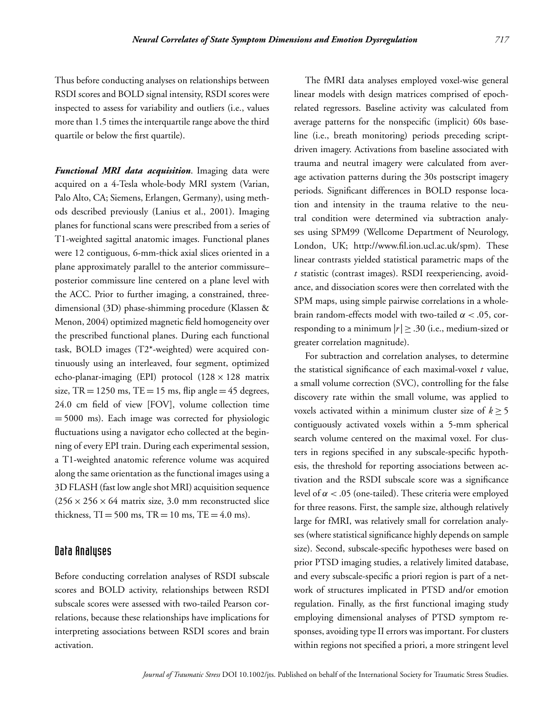Thus before conducting analyses on relationships between RSDI scores and BOLD signal intensity, RSDI scores were inspected to assess for variability and outliers (i.e., values more than 1.5 times the interquartile range above the third quartile or below the first quartile).

*Functional MRI data acquisition*. Imaging data were acquired on a 4-Tesla whole-body MRI system (Varian, Palo Alto, CA; Siemens, Erlangen, Germany), using methods described previously (Lanius et al., 2001). Imaging planes for functional scans were prescribed from a series of T1-weighted sagittal anatomic images. Functional planes were 12 contiguous, 6-mm-thick axial slices oriented in a plane approximately parallel to the anterior commissure– posterior commissure line centered on a plane level with the ACC. Prior to further imaging, a constrained, threedimensional (3D) phase-shimming procedure (Klassen & Menon, 2004) optimized magnetic field homogeneity over the prescribed functional planes. During each functional task, BOLD images (T2\*-weighted) were acquired continuously using an interleaved, four segment, optimized echo-planar-imaging (EPI) protocol  $(128 \times 128$  matrix size,  $TR = 1250$  ms,  $TE = 15$  ms, flip angle = 45 degrees, 24.0 cm field of view [FOV], volume collection time  $= 5000$  ms). Each image was corrected for physiologic fluctuations using a navigator echo collected at the beginning of every EPI train. During each experimental session, a T1-weighted anatomic reference volume was acquired along the same orientation as the functional images using a 3D FLASH (fast low angle shot MRI) acquisition sequence  $(256 \times 256 \times 64$  matrix size, 3.0 mm reconstructed slice thickness,  $TI = 500$  ms,  $TR = 10$  ms,  $TE = 4.0$  ms).

#### Data Analyses

Before conducting correlation analyses of RSDI subscale scores and BOLD activity, relationships between RSDI subscale scores were assessed with two-tailed Pearson correlations, because these relationships have implications for interpreting associations between RSDI scores and brain activation.

The fMRI data analyses employed voxel-wise general linear models with design matrices comprised of epochrelated regressors. Baseline activity was calculated from average patterns for the nonspecific (implicit) 60s baseline (i.e., breath monitoring) periods preceding scriptdriven imagery. Activations from baseline associated with trauma and neutral imagery were calculated from average activation patterns during the 30s postscript imagery periods. Significant differences in BOLD response location and intensity in the trauma relative to the neutral condition were determined via subtraction analyses using SPM99 (Wellcome Department of Neurology, London, UK; http://www.fil.ion.ucl.ac.uk/spm). These linear contrasts yielded statistical parametric maps of the *t* statistic (contrast images). RSDI reexperiencing, avoidance, and dissociation scores were then correlated with the SPM maps, using simple pairwise correlations in a wholebrain random-effects model with two-tailed  $\alpha < .05$ , corresponding to a minimum  $|r| \geq .30$  (i.e., medium-sized or greater correlation magnitude).

For subtraction and correlation analyses, to determine the statistical significance of each maximal-voxel *t* value, a small volume correction (SVC), controlling for the false discovery rate within the small volume, was applied to voxels activated within a minimum cluster size of  $k \geq 5$ contiguously activated voxels within a 5-mm spherical search volume centered on the maximal voxel. For clusters in regions specified in any subscale-specific hypothesis, the threshold for reporting associations between activation and the RSDI subscale score was a significance level of  $\alpha$  < .05 (one-tailed). These criteria were employed for three reasons. First, the sample size, although relatively large for fMRI, was relatively small for correlation analyses (where statistical significance highly depends on sample size). Second, subscale-specific hypotheses were based on prior PTSD imaging studies, a relatively limited database, and every subscale-specific a priori region is part of a network of structures implicated in PTSD and/or emotion regulation. Finally, as the first functional imaging study employing dimensional analyses of PTSD symptom responses, avoiding type II errors was important. For clusters within regions not specified a priori, a more stringent level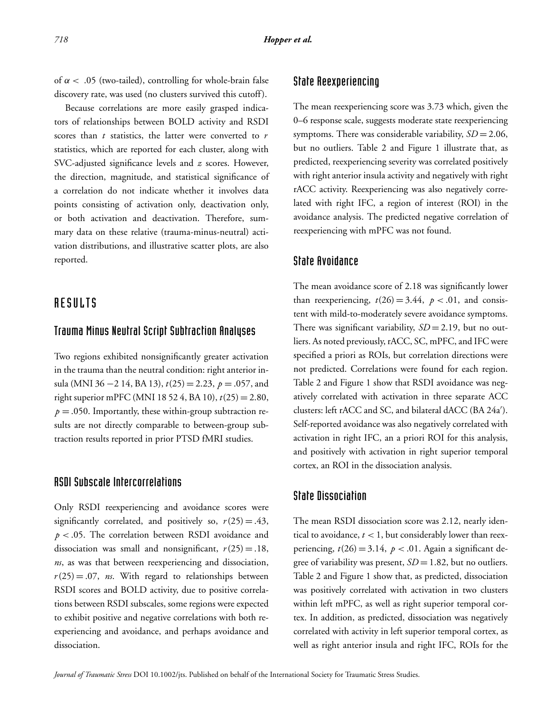of  $\alpha$  < .05 (two-tailed), controlling for whole-brain false discovery rate, was used (no clusters survived this cutoff).

Because correlations are more easily grasped indicators of relationships between BOLD activity and RSDI scores than *t* statistics, the latter were converted to *r* statistics, which are reported for each cluster, along with SVC-adjusted significance levels and *z* scores. However, the direction, magnitude, and statistical significance of a correlation do not indicate whether it involves data points consisting of activation only, deactivation only, or both activation and deactivation. Therefore, summary data on these relative (trauma-minus-neutral) activation distributions, and illustrative scatter plots, are also reported.

### RESULTS

#### Trauma Minus Neutral Script Subtraction Analyses

Two regions exhibited nonsignificantly greater activation in the trauma than the neutral condition: right anterior insula (MNI 36 −2 14, BA 13), *t*(25) = 2.23, *p* = .057, and right superior mPFC (MNI 18 52 4, BA 10), *t*(25) = 2.80,  $p = 0.050$ . Importantly, these within-group subtraction results are not directly comparable to between-group subtraction results reported in prior PTSD fMRI studies.

#### RSDI Subscale Intercorrelations

Only RSDI reexperiencing and avoidance scores were significantly correlated, and positively so,  $r(25) = .43$ , *p* < .05. The correlation between RSDI avoidance and dissociation was small and nonsignificant,  $r(25) = .18$ , *ns*, as was that between reexperiencing and dissociation,  $r(25) = .07$ , *ns*. With regard to relationships between RSDI scores and BOLD activity, due to positive correlations between RSDI subscales, some regions were expected to exhibit positive and negative correlations with both reexperiencing and avoidance, and perhaps avoidance and dissociation.

#### State Reexperiencing

The mean reexperiencing score was 3.73 which, given the 0–6 response scale, suggests moderate state reexperiencing symptoms. There was considerable variability,  $SD = 2.06$ , but no outliers. Table 2 and Figure 1 illustrate that, as predicted, reexperiencing severity was correlated positively with right anterior insula activity and negatively with right rACC activity. Reexperiencing was also negatively correlated with right IFC, a region of interest (ROI) in the avoidance analysis. The predicted negative correlation of reexperiencing with mPFC was not found.

#### State Avoidance

The mean avoidance score of 2.18 was significantly lower than reexperiencing,  $t(26) = 3.44$ ,  $p < .01$ , and consistent with mild-to-moderately severe avoidance symptoms. There was significant variability,  $SD = 2.19$ , but no outliers. As noted previously, rACC, SC, mPFC, and IFC were specified a priori as ROIs, but correlation directions were not predicted. Correlations were found for each region. Table 2 and Figure 1 show that RSDI avoidance was negatively correlated with activation in three separate ACC clusters: left rACC and SC, and bilateral dACC (BA 24a ). Self-reported avoidance was also negatively correlated with activation in right IFC, an a priori ROI for this analysis, and positively with activation in right superior temporal cortex, an ROI in the dissociation analysis.

#### State Dissociation

The mean RSDI dissociation score was 2.12, nearly identical to avoidance,  $t < 1$ , but considerably lower than reexperiencing,  $t(26) = 3.14$ ,  $p < .01$ . Again a significant degree of variability was present,  $SD = 1.82$ , but no outliers. Table 2 and Figure 1 show that, as predicted, dissociation was positively correlated with activation in two clusters within left mPFC, as well as right superior temporal cortex. In addition, as predicted, dissociation was negatively correlated with activity in left superior temporal cortex, as well as right anterior insula and right IFC, ROIs for the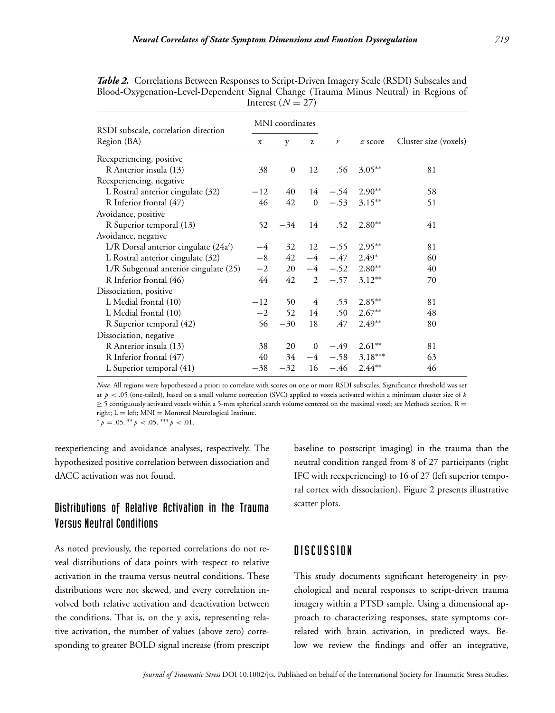| RSDI subscale, correlation direction<br>Region (BA) | MNI coordinates |              |                |             |           |                       |
|-----------------------------------------------------|-----------------|--------------|----------------|-------------|-----------|-----------------------|
|                                                     | X               | y            | z              | r           | $z$ score | Cluster size (voxels) |
| Reexperiencing, positive                            |                 |              |                |             |           |                       |
| R Anterior insula (13)                              | 38              | $\mathbf{0}$ | 12             | .56         | $3.05**$  | 81                    |
| Reexperiencing, negative                            |                 |              |                |             |           |                       |
| L Rostral anterior cingulate (32)                   | $-12$           | 40           |                | $14 - 54$   | $2.90**$  | 58                    |
| R Inferior frontal (47)                             | 46              | 42           | $\overline{0}$ | $-.53$      | $3.15***$ | 51                    |
| Avoidance, positive                                 |                 |              |                |             |           |                       |
| R Superior temporal (13)                            | 52              | $-34$        | 14             | .52         | $2.80**$  | 41                    |
| Avoidance, negative                                 |                 |              |                |             |           |                       |
| L/R Dorsal anterior cingulate (24a')                | $-4$            | 32           | 12             | $-.55$      | $2.95**$  | 81                    |
| L Rostral anterior cingulate (32)                   | $-8$            | 42           |                | $-4$ $-.47$ | $2.49*$   | 60                    |
| L/R Subgenual anterior cingulate (25)               | $-2$            | 20           |                | $-4$ $-.52$ | $2.80**$  | 40                    |
| R Inferior frontal (46)                             | 44              | 42           | 2              | $-.57$      | $3.12**$  | 70                    |
| Dissociation, positive                              |                 |              |                |             |           |                       |
| L Medial frontal (10)                               | $-12$           | 50           | 4              | .53         | $2.85**$  | 81                    |
| L Medial frontal (10)                               | $-2$            | 52           | 14             | .50         | $2.67**$  | 48                    |
| R Superior temporal (42)                            | 56              | $-30$        | 18             | .47         | $2.49**$  | 80                    |
| Dissociation, negative                              |                 |              |                |             |           |                       |
| R Anterior insula (13)                              | 38              | 20           | $\mathbf{0}$   | $-.49$      | $2.61**$  | 81                    |
| R Inferior frontal (47)                             | 40              | 34           | $-4$           | $-.58$      | $3.18***$ | 63                    |
| L Superior temporal (41)                            | $-38$           | $-32$        | 16             | $-.46$      | $2.44**$  | 46                    |
|                                                     |                 |              |                |             |           |                       |

*Table 2.* Correlations Between Responses to Script-Driven Imagery Scale (RSDI) Subscales and Blood-Oxygenation-Level-Dependent Signal Change (Trauma Minus Neutral) in Regions of Interest  $(N = 27)$ 

*Note.* All regions were hypothesized a priori to correlate with scores on one or more RSDI subscales. Significance threshold was set at *p* < .05 (one-tailed), based on a small volume correction (SVC) applied to voxels activated within a minimum cluster size of *k*  $\geq$  5 contiguously activated voxels within a 5-mm spherical search volume centered on the maximal voxel; see Methods section. R =  $right; L = left; MNI = Montreal Neurological Institute.$ 

 ${}^*p = .05.$  \*\*  $p < .05.$  \*\*\*  $p < .01.$ 

reexperiencing and avoidance analyses, respectively. The hypothesized positive correlation between dissociation and dACC activation was not found.

## Distributions of Relative Activation in the Trauma Versus Neutral Conditions

As noted previously, the reported correlations do not reveal distributions of data points with respect to relative activation in the trauma versus neutral conditions. These distributions were not skewed, and every correlation involved both relative activation and deactivation between the conditions. That is, on the y axis, representing relative activation, the number of values (above zero) corresponding to greater BOLD signal increase (from prescript baseline to postscript imaging) in the trauma than the neutral condition ranged from 8 of 27 participants (right IFC with reexperiencing) to 16 of 27 (left superior temporal cortex with dissociation). Figure 2 presents illustrative scatter plots.

#### DISCUSSION

This study documents significant heterogeneity in psychological and neural responses to script-driven trauma imagery within a PTSD sample. Using a dimensional approach to characterizing responses, state symptoms correlated with brain activation, in predicted ways. Below we review the findings and offer an integrative,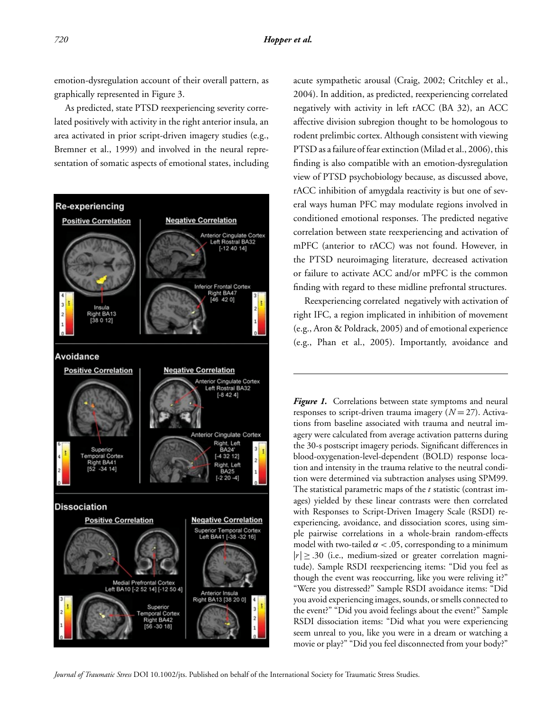emotion-dysregulation account of their overall pattern, as graphically represented in Figure 3.

As predicted, state PTSD reexperiencing severity correlated positively with activity in the right anterior insula, an area activated in prior script-driven imagery studies (e.g., Bremner et al., 1999) and involved in the neural representation of somatic aspects of emotional states, including



acute sympathetic arousal (Craig, 2002; Critchley et al., 2004). In addition, as predicted, reexperiencing correlated negatively with activity in left rACC (BA 32), an ACC affective division subregion thought to be homologous to rodent prelimbic cortex. Although consistent with viewing PTSD as a failure of fear extinction (Milad et al., 2006), this finding is also compatible with an emotion-dysregulation view of PTSD psychobiology because, as discussed above, rACC inhibition of amygdala reactivity is but one of several ways human PFC may modulate regions involved in conditioned emotional responses. The predicted negative correlation between state reexperiencing and activation of mPFC (anterior to rACC) was not found. However, in the PTSD neuroimaging literature, decreased activation or failure to activate ACC and/or mPFC is the common finding with regard to these midline prefrontal structures.

Reexperiencing correlated negatively with activation of right IFC, a region implicated in inhibition of movement (e.g., Aron & Poldrack, 2005) and of emotional experience (e.g., Phan et al., 2005). Importantly, avoidance and

Figure 1. Correlations between state symptoms and neural responses to script-driven trauma imagery  $(N = 27)$ . Activations from baseline associated with trauma and neutral imagery were calculated from average activation patterns during the 30-s postscript imagery periods. Significant differences in blood-oxygenation-level-dependent (BOLD) response location and intensity in the trauma relative to the neutral condition were determined via subtraction analyses using SPM99. The statistical parametric maps of the *t* statistic (contrast images) yielded by these linear contrasts were then correlated with Responses to Script-Driven Imagery Scale (RSDI) reexperiencing, avoidance, and dissociation scores, using simple pairwise correlations in a whole-brain random-effects model with two-tailed  $\alpha < .05$ , corresponding to a minimum  $|r| \geq .30$  (i.e., medium-sized or greater correlation magnitude). Sample RSDI reexperiencing items: "Did you feel as though the event was reoccurring, like you were reliving it?" "Were you distressed?" Sample RSDI avoidance items: "Did you avoid experiencing images, sounds, or smells connected to the event?" "Did you avoid feelings about the event?" Sample RSDI dissociation items: "Did what you were experiencing seem unreal to you, like you were in a dream or watching a movie or play?" "Did you feel disconnected from your body?"

*Journal of Traumatic Stress* DOI 10.1002/jts. Published on behalf of the International Society for Traumatic Stress Studies.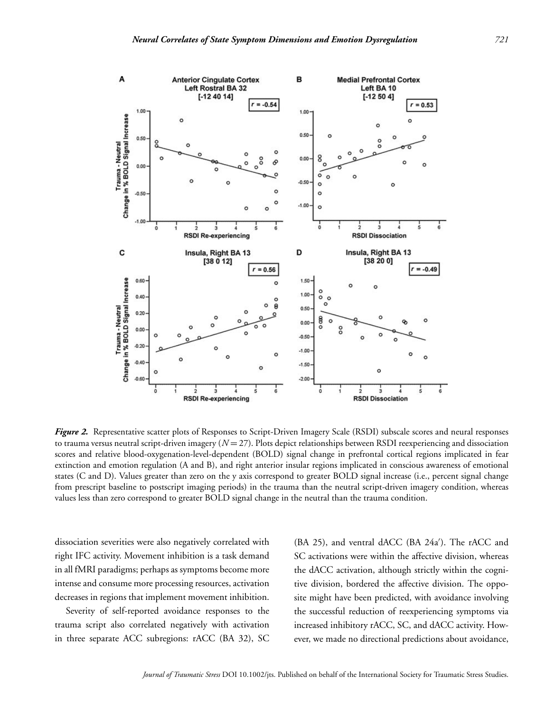

*Figure 2.* Representative scatter plots of Responses to Script-Driven Imagery Scale (RSDI) subscale scores and neural responses to trauma versus neutral script-driven imagery  $(N=27)$ . Plots depict relationships between RSDI reexperiencing and dissociation scores and relative blood-oxygenation-level-dependent (BOLD) signal change in prefrontal cortical regions implicated in fear extinction and emotion regulation (A and B), and right anterior insular regions implicated in conscious awareness of emotional states (C and D). Values greater than zero on the y axis correspond to greater BOLD signal increase (i.e., percent signal change from prescript baseline to postscript imaging periods) in the trauma than the neutral script-driven imagery condition, whereas values less than zero correspond to greater BOLD signal change in the neutral than the trauma condition.

dissociation severities were also negatively correlated with right IFC activity. Movement inhibition is a task demand in all fMRI paradigms; perhaps as symptoms become more intense and consume more processing resources, activation decreases in regions that implement movement inhibition.

Severity of self-reported avoidance responses to the trauma script also correlated negatively with activation in three separate ACC subregions: rACC (BA 32), SC

(BA 25), and ventral dACC (BA 24a ). The rACC and SC activations were within the affective division, whereas the dACC activation, although strictly within the cognitive division, bordered the affective division. The opposite might have been predicted, with avoidance involving the successful reduction of reexperiencing symptoms via increased inhibitory rACC, SC, and dACC activity. However, we made no directional predictions about avoidance,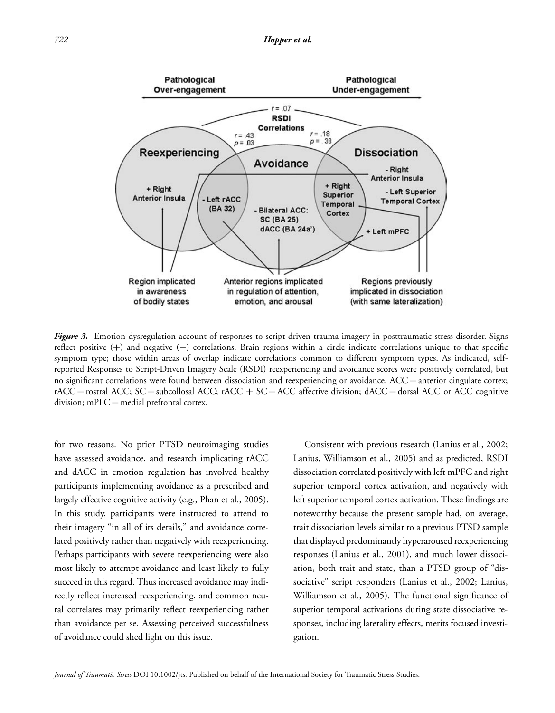

*Figure 3.* Emotion dysregulation account of responses to script-driven trauma imagery in posttraumatic stress disorder. Signs reflect positive (+) and negative (−) correlations. Brain regions within a circle indicate correlations unique to that specific symptom type; those within areas of overlap indicate correlations common to different symptom types. As indicated, selfreported Responses to Script-Driven Imagery Scale (RSDI) reexperiencing and avoidance scores were positively correlated, but no significant correlations were found between dissociation and reexperiencing or avoidance. ACC = anterior cingulate cortex; rACC = rostral ACC; SC = subcollosal ACC; rACC + SC = ACC affective division; dACC = dorsal ACC or ACC cognitive division; mPFC = medial prefrontal cortex.

for two reasons. No prior PTSD neuroimaging studies have assessed avoidance, and research implicating rACC and dACC in emotion regulation has involved healthy participants implementing avoidance as a prescribed and largely effective cognitive activity (e.g., Phan et al., 2005). In this study, participants were instructed to attend to their imagery "in all of its details," and avoidance correlated positively rather than negatively with reexperiencing. Perhaps participants with severe reexperiencing were also most likely to attempt avoidance and least likely to fully succeed in this regard. Thus increased avoidance may indirectly reflect increased reexperiencing, and common neural correlates may primarily reflect reexperiencing rather than avoidance per se. Assessing perceived successfulness of avoidance could shed light on this issue.

Consistent with previous research (Lanius et al., 2002; Lanius, Williamson et al., 2005) and as predicted, RSDI dissociation correlated positively with left mPFC and right superior temporal cortex activation, and negatively with left superior temporal cortex activation. These findings are noteworthy because the present sample had, on average, trait dissociation levels similar to a previous PTSD sample that displayed predominantly hyperaroused reexperiencing responses (Lanius et al., 2001), and much lower dissociation, both trait and state, than a PTSD group of "dissociative" script responders (Lanius et al., 2002; Lanius, Williamson et al., 2005). The functional significance of superior temporal activations during state dissociative responses, including laterality effects, merits focused investigation.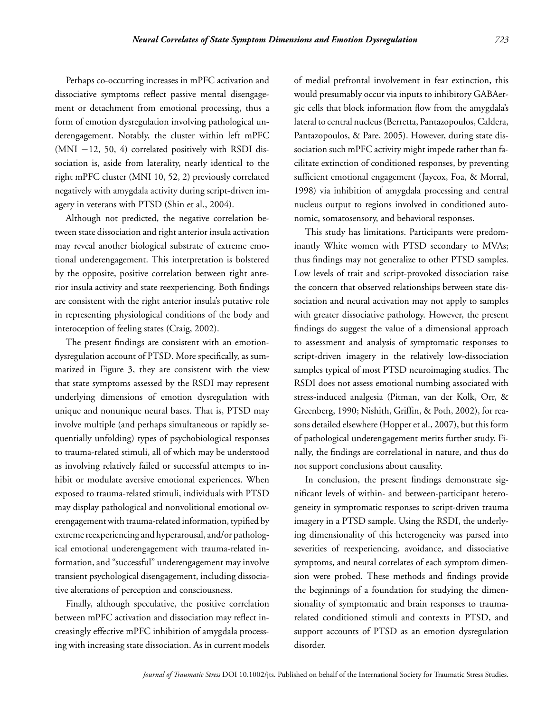Perhaps co-occurring increases in mPFC activation and dissociative symptoms reflect passive mental disengagement or detachment from emotional processing, thus a form of emotion dysregulation involving pathological underengagement. Notably, the cluster within left mPFC  $(MNI -12, 50, 4)$  correlated positively with RSDI dissociation is, aside from laterality, nearly identical to the right mPFC cluster (MNI 10, 52, 2) previously correlated negatively with amygdala activity during script-driven imagery in veterans with PTSD (Shin et al., 2004).

Although not predicted, the negative correlation between state dissociation and right anterior insula activation may reveal another biological substrate of extreme emotional underengagement. This interpretation is bolstered by the opposite, positive correlation between right anterior insula activity and state reexperiencing. Both findings are consistent with the right anterior insula's putative role in representing physiological conditions of the body and interoception of feeling states (Craig, 2002).

The present findings are consistent with an emotiondysregulation account of PTSD. More specifically, as summarized in Figure 3, they are consistent with the view that state symptoms assessed by the RSDI may represent underlying dimensions of emotion dysregulation with unique and nonunique neural bases. That is, PTSD may involve multiple (and perhaps simultaneous or rapidly sequentially unfolding) types of psychobiological responses to trauma-related stimuli, all of which may be understood as involving relatively failed or successful attempts to inhibit or modulate aversive emotional experiences. When exposed to trauma-related stimuli, individuals with PTSD may display pathological and nonvolitional emotional overengagement with trauma-related information, typified by extreme reexperiencing and hyperarousal, and/or pathological emotional underengagement with trauma-related information, and "successful" underengagement may involve transient psychological disengagement, including dissociative alterations of perception and consciousness.

Finally, although speculative, the positive correlation between mPFC activation and dissociation may reflect increasingly effective mPFC inhibition of amygdala processing with increasing state dissociation. As in current models of medial prefrontal involvement in fear extinction, this would presumably occur via inputs to inhibitory GABAergic cells that block information flow from the amygdala's lateral to central nucleus (Berretta, Pantazopoulos, Caldera, Pantazopoulos, & Pare, 2005). However, during state dissociation such mPFC activity might impede rather than facilitate extinction of conditioned responses, by preventing sufficient emotional engagement (Jaycox, Foa, & Morral, 1998) via inhibition of amygdala processing and central nucleus output to regions involved in conditioned autonomic, somatosensory, and behavioral responses.

This study has limitations. Participants were predominantly White women with PTSD secondary to MVAs; thus findings may not generalize to other PTSD samples. Low levels of trait and script-provoked dissociation raise the concern that observed relationships between state dissociation and neural activation may not apply to samples with greater dissociative pathology. However, the present findings do suggest the value of a dimensional approach to assessment and analysis of symptomatic responses to script-driven imagery in the relatively low-dissociation samples typical of most PTSD neuroimaging studies. The RSDI does not assess emotional numbing associated with stress-induced analgesia (Pitman, van der Kolk, Orr, & Greenberg, 1990; Nishith, Griffin, & Poth, 2002), for reasons detailed elsewhere (Hopper et al., 2007), but this form of pathological underengagement merits further study. Finally, the findings are correlational in nature, and thus do not support conclusions about causality.

In conclusion, the present findings demonstrate significant levels of within- and between-participant heterogeneity in symptomatic responses to script-driven trauma imagery in a PTSD sample. Using the RSDI, the underlying dimensionality of this heterogeneity was parsed into severities of reexperiencing, avoidance, and dissociative symptoms, and neural correlates of each symptom dimension were probed. These methods and findings provide the beginnings of a foundation for studying the dimensionality of symptomatic and brain responses to traumarelated conditioned stimuli and contexts in PTSD, and support accounts of PTSD as an emotion dysregulation disorder.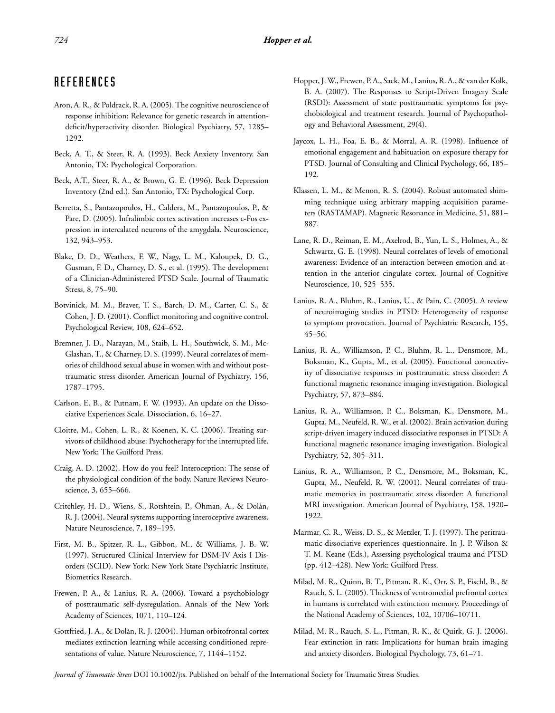# REFERENCES

- Aron, A. R., & Poldrack, R. A. (2005). The cognitive neuroscience of response inhibition: Relevance for genetic research in attentiondeficit/hyperactivity disorder. Biological Psychiatry, 57, 1285– 1292.
- Beck, A. T., & Steer, R. A. (1993). Beck Anxiety Inventory. San Antonio, TX: Psychological Corporation.
- Beck, A.T., Steer, R. A., & Brown, G. E. (1996). Beck Depression Inventory (2nd ed.). San Antonio, TX: Psychological Corp.
- Berretta, S., Pantazopoulos, H., Caldera, M., Pantazopoulos, P., & Pare, D. (2005). Infralimbic cortex activation increases c-Fos expression in intercalated neurons of the amygdala. Neuroscience, 132, 943–953.
- Blake, D. D., Weathers, F. W., Nagy, L. M., Kaloupek, D. G., Gusman, F. D., Charney, D. S., et al. (1995). The development of a Clinician-Administered PTSD Scale. Journal of Traumatic Stress, 8, 75–90.
- Botvinick, M. M., Braver, T. S., Barch, D. M., Carter, C. S., & Cohen, J. D. (2001). Conflict monitoring and cognitive control. Psychological Review, 108, 624–652.
- Bremner, J. D., Narayan, M., Staib, L. H., Southwick, S. M., Mc-Glashan, T., & Charney, D. S. (1999). Neural correlates of memories of childhood sexual abuse in women with and without posttraumatic stress disorder. American Journal of Psychiatry, 156, 1787–1795.
- Carlson, E. B., & Putnam, F. W. (1993). An update on the Dissociative Experiences Scale. Dissociation, 6, 16–27.
- Cloitre, M., Cohen, L. R., & Koenen, K. C. (2006). Treating survivors of childhood abuse: Psychotherapy for the interrupted life. New York: The Guilford Press.
- Craig, A. D. (2002). How do you feel? Interoception: The sense of the physiological condition of the body. Nature Reviews Neuroscience, 3, 655–666.
- Critchley, H. D., Wiens, S., Rotshtein, P., Öhman, A., & Dolàn, R. J. (2004). Neural systems supporting interoceptive awareness. Nature Neuroscience, 7, 189–195.
- First, M. B., Spitzer, R. L., Gibbon, M., & Williams, J. B. W. (1997). Structured Clinical Interview for DSM-IV Axis I Disorders (SCID). New York: New York State Psychiatric Institute, Biometrics Research.
- Frewen, P. A., & Lanius, R. A. (2006). Toward a psychobiology of posttraumatic self-dysregulation. Annals of the New York Academy of Sciences, 1071, 110–124.
- Gottfried, J. A., & Dolan, R. J. (2004). Human orbitofrontal cortex ` mediates extinction learning while accessing conditioned representations of value. Nature Neuroscience, 7, 1144–1152.
- Hopper, J. W., Frewen, P. A., Sack, M., Lanius, R. A., & van der Kolk, B. A. (2007). The Responses to Script-Driven Imagery Scale (RSDI): Assessment of state posttraumatic symptoms for psychobiological and treatment research. Journal of Psychopathology and Behavioral Assessment, 29(4).
- Jaycox, L. H., Foa, E. B., & Morral, A. R. (1998). Influence of emotional engagement and habituation on exposure therapy for PTSD. Journal of Consulting and Clinical Psychology, 66, 185– 192.
- Klassen, L. M., & Menon, R. S. (2004). Robust automated shimming technique using arbitrary mapping acquisition parameters (RASTAMAP). Magnetic Resonance in Medicine, 51, 881– 887.
- Lane, R. D., Reiman, E. M., Axelrod, B., Yun, L. S., Holmes, A., & Schwartz, G. E. (1998). Neural correlates of levels of emotional awareness: Evidence of an interaction between emotion and attention in the anterior cingulate cortex. Journal of Cognitive Neuroscience, 10, 525–535.
- Lanius, R. A., Bluhm, R., Lanius, U., & Pain, C. (2005). A review of neuroimaging studies in PTSD: Heterogeneity of response to symptom provocation. Journal of Psychiatric Research, 155, 45–56.
- Lanius, R. A., Williamson, P. C., Bluhm, R. L., Densmore, M., Boksman, K., Gupta, M., et al. (2005). Functional connectivity of dissociative responses in posttraumatic stress disorder: A functional magnetic resonance imaging investigation. Biological Psychiatry, 57, 873–884.
- Lanius, R. A., Williamson, P. C., Boksman, K., Densmore, M., Gupta, M., Neufeld, R. W., et al. (2002). Brain activation during script-driven imagery induced dissociative responses in PTSD: A functional magnetic resonance imaging investigation. Biological Psychiatry, 52, 305–311.
- Lanius, R. A., Williamson, P. C., Densmore, M., Boksman, K., Gupta, M., Neufeld, R. W. (2001). Neural correlates of traumatic memories in posttraumatic stress disorder: A functional MRI investigation. American Journal of Psychiatry, 158, 1920– 1922.
- Marmar, C. R., Weiss, D. S., & Metzler, T. J. (1997). The peritraumatic dissociative experiences questionnaire. In J. P. Wilson & T. M. Keane (Eds.), Assessing psychological trauma and PTSD (pp. 412–428). New York: Guilford Press.
- Milad, M. R., Quinn, B. T., Pitman, R. K., Orr, S. P., Fischl, B., & Rauch, S. L. (2005). Thickness of ventromedial prefrontal cortex in humans is correlated with extinction memory. Proceedings of the National Academy of Sciences, 102, 10706–10711.
- Milad, M. R., Rauch, S. L., Pitman, R. K., & Quirk, G. J. (2006). Fear extinction in rats: Implications for human brain imaging and anxiety disorders. Biological Psychology, 73, 61–71.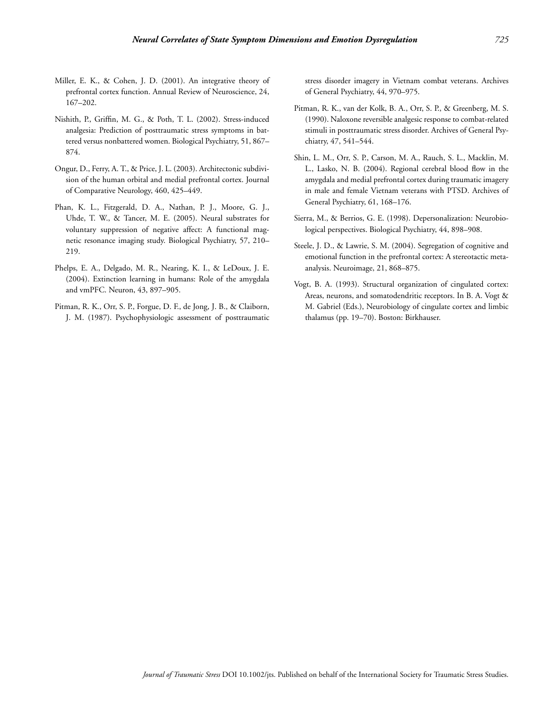- Miller, E. K., & Cohen, J. D. (2001). An integrative theory of prefrontal cortex function. Annual Review of Neuroscience, 24, 167–202.
- Nishith, P., Griffin, M. G., & Poth, T. L. (2002). Stress-induced analgesia: Prediction of posttraumatic stress symptoms in battered versus nonbattered women. Biological Psychiatry, 51, 867– 874.
- Ongur, D., Ferry, A. T., & Price, J. L. (2003). Architectonic subdivision of the human orbital and medial prefrontal cortex. Journal of Comparative Neurology, 460, 425–449.
- Phan, K. L., Fitzgerald, D. A., Nathan, P. J., Moore, G. J., Uhde, T. W., & Tancer, M. E. (2005). Neural substrates for voluntary suppression of negative affect: A functional magnetic resonance imaging study. Biological Psychiatry, 57, 210– 219.
- Phelps, E. A., Delgado, M. R., Nearing, K. I., & LeDoux, J. E. (2004). Extinction learning in humans: Role of the amygdala and vmPFC. Neuron, 43, 897–905.
- Pitman, R. K., Orr, S. P., Forgue, D. F., de Jong, J. B., & Claiborn, J. M. (1987). Psychophysiologic assessment of posttraumatic

stress disorder imagery in Vietnam combat veterans. Archives of General Psychiatry, 44, 970–975.

- Pitman, R. K., van der Kolk, B. A., Orr, S. P., & Greenberg, M. S. (1990). Naloxone reversible analgesic response to combat-related stimuli in posttraumatic stress disorder. Archives of General Psychiatry, 47, 541–544.
- Shin, L. M., Orr, S. P., Carson, M. A., Rauch, S. L., Macklin, M. L., Lasko, N. B. (2004). Regional cerebral blood flow in the amygdala and medial prefrontal cortex during traumatic imagery in male and female Vietnam veterans with PTSD. Archives of General Psychiatry, 61, 168–176.
- Sierra, M., & Berrios, G. E. (1998). Depersonalization: Neurobiological perspectives. Biological Psychiatry, 44, 898–908.
- Steele, J. D., & Lawrie, S. M. (2004). Segregation of cognitive and emotional function in the prefrontal cortex: A stereotactic metaanalysis. Neuroimage, 21, 868–875.
- Vogt, B. A. (1993). Structural organization of cingulated cortex: Areas, neurons, and somatodendritic receptors. In B. A. Vogt & M. Gabriel (Eds.), Neurobiology of cingulate cortex and limbic thalamus (pp. 19–70). Boston: Birkhauser.